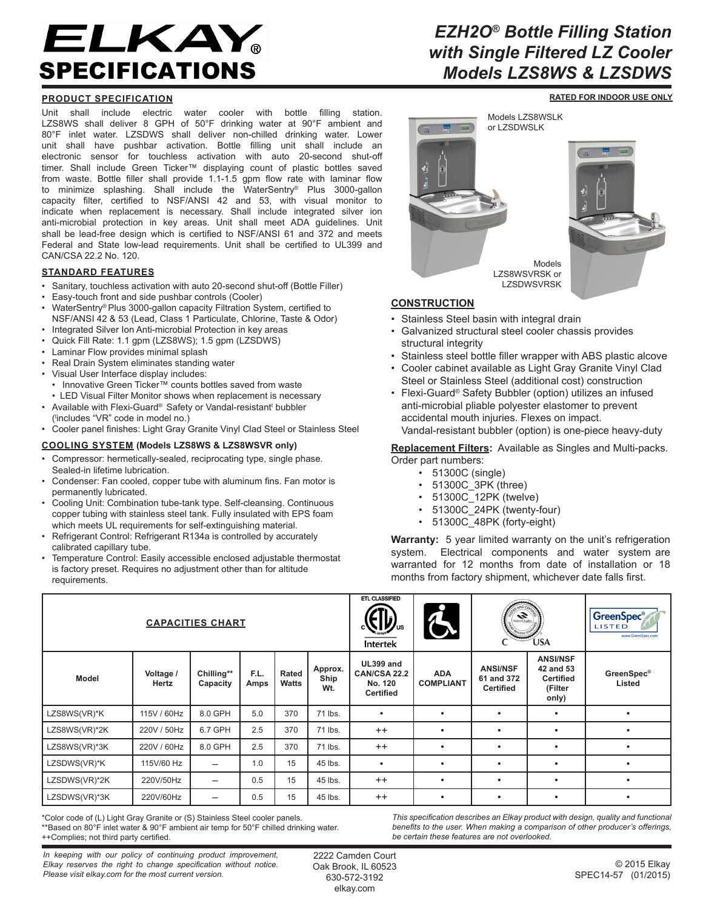# ELKAY SPECIFICATIONS

## **PRODUCT SPECIFICATION**

Unit shall include electric water cooler with bottle filling station. LZS8WS shall deliver 8 GPH of 50°F drinking water at 90°F ambient and 80°F inlet water. LZSDWS shall deliver non-chilled drinking water. Lower unit shall have pushbar activation. Bottle filling unit shall include an electronic sensor for touchless activation with auto 20-second shut-off timer. Shall include Green Ticker™ displaying count of plastic bottles saved from waste. Bottle filler shall provide 1.1-1.5 gpm flow rate with laminar flow to minimize splashing. Shall include the WaterSentry® Plus 3000-gallon capacity filter, certified to NSF/ANSI 42 and 53, with visual monitor to indicate when replacement is necessary. Shall include integrated silver ion anti-microbial protection in key areas. Unit shall meet ADA guidelines. Unit shall be lead-free design which is certified to NSF/ANSI 61 and 372 and meets Federal and State low-lead requirements. Unit shall be certified to UL399 and CAN/CSA 22.2 No. 120.

#### **STANDARD FEATURES**

- Sanitary, touchless activation with auto 20-second shut-off (Bottle Filler)
- Easy-touch front and side pushbar controls (Cooler)
- WaterSentry® Plus 3000-gallon capacity Filtration System, certified to NSF/ANSI 42 & 53 (Lead, Class 1 Particulate, Chlorine, Taste & Odor)
- Integrated Silver Ion Anti-microbial Protection in key areas
- Quick Fill Rate: 1.1 gpm (LZS8WS); 1.5 gpm (LZSDWS)
- Laminar Flow provides minimal splash
- Real Drain System eliminates standing water
- Visual User Interface display includes:
	- Innovative Green Ticker™ counts bottles saved from waste
- LED Visual Filter Monitor shows when replacement is necessary
- Available with Flexi-Guard® Safety or Vandal-resistant<sup>t</sup> bubbler
- ( t includes "VR" code in model no.)
- Cooler panel finishes: Light Gray Granite Vinyl Clad Steel or Stainless Steel

#### **COOLING SYSTEM (Models LZS8WS & LZS8WSVR only)**

- Compressor: hermetically-sealed, reciprocating type, single phase. Sealed-in lifetime lubrication.
- Condenser: Fan cooled, copper tube with aluminum fins. Fan motor is permanently lubricated.
- Cooling Unit: Combination tube-tank type. Self-cleansing. Continuous copper tubing with stainless steel tank. Fully insulated with EPS foam which meets UL requirements for self-extinguishing material.
- Refrigerant Control: Refrigerant R134a is controlled by accurately calibrated capillary tube.
- Temperature Control: Easily accessible enclosed adjustable thermostat is factory preset. Requires no adjustment other than for altitude requirements.

## *EZH2O® Bottle Filling Station with Single Filtered LZ Cooler Models LZS8WS & LZSDWS*

**RATED FOR INDOOR USE ONLY**



## **CONSTRUCTION**

- Stainless Steel basin with integral drain
- Galvanized structural steel cooler chassis provides structural integrity
- Stainless steel bottle filler wrapper with ABS plastic alcove
- Cooler cabinet available as Light Gray Granite Vinyl Clad Steel or Stainless Steel (additional cost) construction
- Flexi-Guard® Safety Bubbler (option) utilizes an infused anti-microbial pliable polyester elastomer to prevent accidental mouth injuries. Flexes on impact. Vandal-resistant bubbler (option) is one-piece heavy-duty

#### **Replacement Filters:** Available as Singles and Multi-packs. Order part numbers:

- 51300C (single)
- 51300C\_3PK (three)
- $51300C_12PK$  (twelve)<br>•  $51300C_22PK$  (twenty-
- 51300C\_24PK (twenty-four)
- 51300C\_48PK (forty-eight)

**Warranty:** 5 year limited warranty on the unit's refrigeration system. Electrical components and water system are warranted for 12 months from date of installation or 18 months from factory shipment, whichever date falls first.

|               |                    | ETL CLASSIFIED<br>$\mathbf{C}$<br><b>Intertek</b> | A            | ND <sub>C</sub><br><b>ANGLIC ANGLIC ANGLIC ANGLIS</b><br><b>POLISTRY STAT</b><br><b>USA</b> |                        | <b>GreenSpec</b> ®<br>LISTED<br>www.GreenSpec.com        |                                |                                                   |                                                                      |                             |
|---------------|--------------------|---------------------------------------------------|--------------|---------------------------------------------------------------------------------------------|------------------------|----------------------------------------------------------|--------------------------------|---------------------------------------------------|----------------------------------------------------------------------|-----------------------------|
| <b>Model</b>  | Voltage /<br>Hertz | Chilling**<br>Capacity                            | F.L.<br>Amps | Rated<br><b>Watts</b>                                                                       | Approx.<br>Ship<br>Wt. | UL399 and<br>CAN/CSA 22.2<br>No. 120<br><b>Certified</b> | <b>ADA</b><br><b>COMPLIANT</b> | <b>ANSI/NSF</b><br>61 and 372<br><b>Certified</b> | <b>ANSI/NSF</b><br>42 and 53<br><b>Certified</b><br>(Filter<br>only) | <b>GreenSpec®</b><br>Listed |
| LZS8WS(VR)*K  | 115V / 60Hz        | 8.0 GPH                                           | 5.0          | 370                                                                                         | 71 lbs.                | $\bullet$                                                | $\bullet$                      | $\bullet$                                         |                                                                      |                             |
| LZS8WS(VR)*2K | 220V / 50Hz        | 6.7 GPH                                           | 2.5          | 370                                                                                         | 71 lbs.                | $++$                                                     | $\bullet$                      | $\bullet$                                         | $\bullet$                                                            |                             |
| LZS8WS(VR)*3K | 220V / 60Hz        | 8.0 GPH                                           | 2.5          | 370                                                                                         | 71 lbs.                | $^{++}$                                                  | $\bullet$                      | $\bullet$                                         | ٠                                                                    |                             |
| LZSDWS(VR)*K  | 115V/60 Hz         | $\overline{\phantom{0}}$                          | 1.0          | 15                                                                                          | 45 lbs.                | $\bullet$                                                | $\bullet$                      | $\bullet$                                         | ٠                                                                    |                             |
| LZSDWS(VR)*2K | 220V/50Hz          | $\overline{\phantom{0}}$                          | 0.5          | 15                                                                                          | 45 lbs.                | $^{++}$                                                  | $\bullet$                      | $\bullet$                                         | ٠                                                                    | $\bullet$                   |
| LZSDWS(VR)*3K | 220V/60Hz          | $\overline{\phantom{0}}$                          | 0.5          | 15                                                                                          | 45 lbs.                | $^{++}$                                                  | $\bullet$                      | $\bullet$                                         | ٠                                                                    | $\bullet$                   |

\*Color code of (L) Light Gray Granite or (S) Stainless Steel cooler panels. \*\*Based on 80°F inlet water & 90°F ambient air temp for 50°F chilled drinking water. ++Complies; not third party certified.

*This specification describes an Elkay product with design, quality and functional benefits to the user. When making a comparison of other producer's offerings, be certain these features are not overlooked.*

*In keeping with our policy of continuing product improvement, Elkay reserves the right to change specification without notice. Please visit elkay.com for the most current version.*

2222 Camden Court Oak Brook, IL 60523 630-572-3192 elkay.com